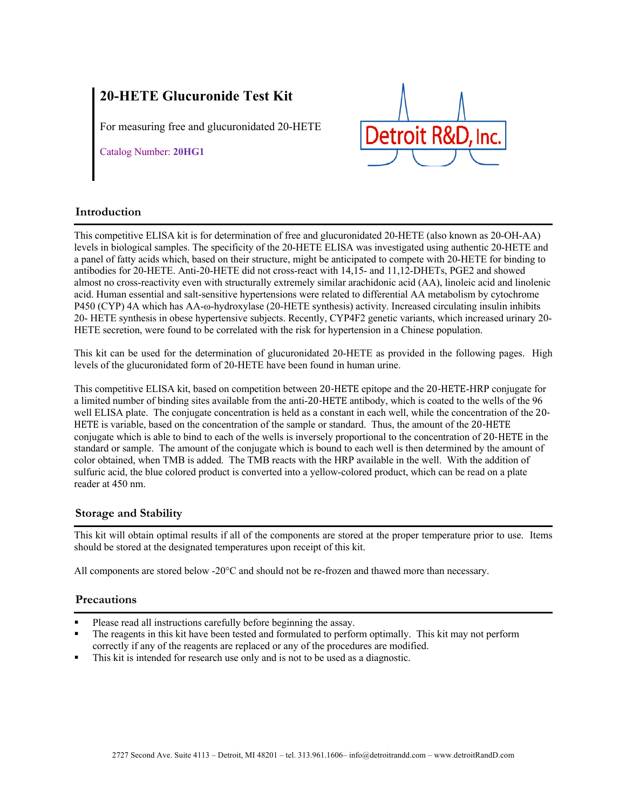# **20-HETE Glucuronide Test Kit**

For measuring free and glucuronidated 20-HETE

Catalog Number: **20HG1**



# **Introduction**

This competitive ELISA kit is for determination of free and glucuronidated 20-HETE (also known as 20-OH-AA) levels in biological samples. The specificity of the 20-HETE ELISA was investigated using authentic 20-HETE and a panel of fatty acids which, based on their structure, might be anticipated to compete with 20-HETE for binding to antibodies for 20-HETE. Anti-20-HETE did not cross-react with 14,15- and 11,12-DHETs, PGE2 and showed almost no cross-reactivity even with structurally extremely similar arachidonic acid (AA), linoleic acid and linolenic acid. Human essential and salt-sensitive hypertensions were related to differential AA metabolism by cytochrome P450 (CYP) 4A which has AA-ω-hydroxylase (20-HETE synthesis) activity. Increased circulating insulin inhibits 20- HETE synthesis in obese hypertensive subjects. Recently, CYP4F2 genetic variants, which increased urinary 20- HETE secretion, were found to be correlated with the risk for hypertension in a Chinese population.

This kit can be used for the determination of glucuronidated 20-HETE as provided in the following pages. High levels of the glucuronidated form of 20-HETE have been found in human urine.

This competitive ELISA kit, based on competition between 20-HETE epitope and the 20-HETE-HRP conjugate for a limited number of binding sites available from the anti-20-HETE antibody, which is coated to the wells of the 96 well ELISA plate. The conjugate concentration is held as a constant in each well, while the concentration of the 20- HETE is variable, based on the concentration of the sample or standard. Thus, the amount of the 20-HETE conjugate which is able to bind to each of the wells is inversely proportional to the concentration of 20-HETE in the standard or sample. The amount of the conjugate which is bound to each well is then determined by the amount of color obtained, when TMB is added. The TMB reacts with the HRP available in the well. With the addition of sulfuric acid, the blue colored product is converted into a yellow-colored product, which can be read on a plate reader at 450 nm.

# **Storage and Stability**

This kit will obtain optimal results if all of the components are stored at the proper temperature prior to use. Items should be stored at the designated temperatures upon receipt of this kit.

All components are stored below -20°C and should not be re-frozen and thawed more than necessary.

# **Precautions**

- Please read all instructions carefully before beginning the assay.
- The reagents in this kit have been tested and formulated to perform optimally. This kit may not perform correctly if any of the reagents are replaced or any of the procedures are modified.
- This kit is intended for research use only and is not to be used as a diagnostic.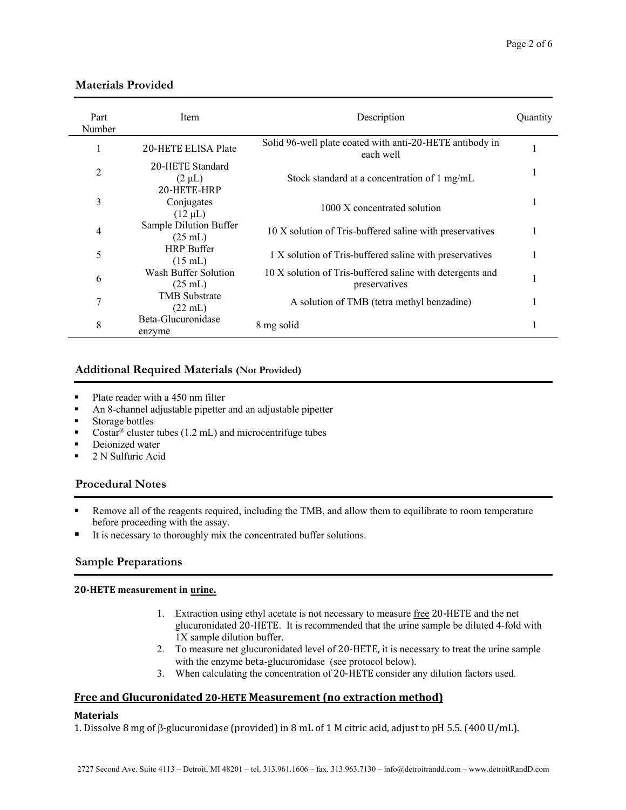| Part<br>Number | Item                                           | Description                                                                | Quantity |
|----------------|------------------------------------------------|----------------------------------------------------------------------------|----------|
|                | 20-HETE ELISA Plate                            | Solid 96-well plate coated with anti-20-HETE antibody in<br>each well      |          |
| 2              | 20-HETE Standard<br>$(2 \mu L)$<br>20-HETE-HRP | Stock standard at a concentration of 1 mg/mL                               |          |
| 3              | Conjugates<br>$(12 \mu L)$                     | 1000 X concentrated solution                                               |          |
| 4              | Sample Dilution Buffer<br>$(25 \text{ mL})$    | 10 X solution of Tris-buffered saline with preservatives                   |          |
| 5              | <b>HRP</b> Buffer<br>$(15 \text{ mL})$         | 1 X solution of Tris-buffered saline with preservatives                    |          |
| 6              | Wash Buffer Solution<br>$(25 \text{ mL})$      | 10 X solution of Tris-buffered saline with detergents and<br>preservatives |          |
| 7              | <b>TMB</b> Substrate<br>$(22 \text{ mL})$      | A solution of TMB (tetra methyl benzadine)                                 |          |
| 8              | Beta-Glucuronidase<br>enzyme                   | 8 mg solid                                                                 |          |

# **Materials Provided**

# **Additional Required Materials (Not Provided)**

- Plate reader with a 450 nm filter
- An 8-channel adjustable pipetter and an adjustable pipetter
- Storage bottles
- Costar<sup>®</sup> cluster tubes (1.2 mL) and microcentrifuge tubes
- Deionized water
- 2 N Sulfuric Acid

# **Procedural Notes**

- Remove all of the reagents required, including the TMB, and allow them to equilibrate to room temperature before proceeding with the assay.
- It is necessary to thoroughly mix the concentrated buffer solutions.

# **Sample Preparations**

## **20-HETE measurement in urine.**

- 1. Extraction using ethyl acetate is not necessary to measure free 20-HETE and the net glucuronidated 20-HETE. It is recommended that the urine sample be diluted 4-fold with 1X sample dilution buffer.
- 2. To measure net glucuronidated level of 20-HETE, it is necessary to treat the urine sample with the enzyme beta-glucuronidase (see protocol below).
- 3. When calculating the concentration of 20-HETE consider any dilution factors used.

# **Free and Glucuronidated 20-HETE Measurement (no extraction method)**

## **Materials**

1. Dissolve 8 mg of  $\beta$ -glucuronidase (provided) in 8 mL of 1 M citric acid, adjust to pH 5.5. (400 U/mL).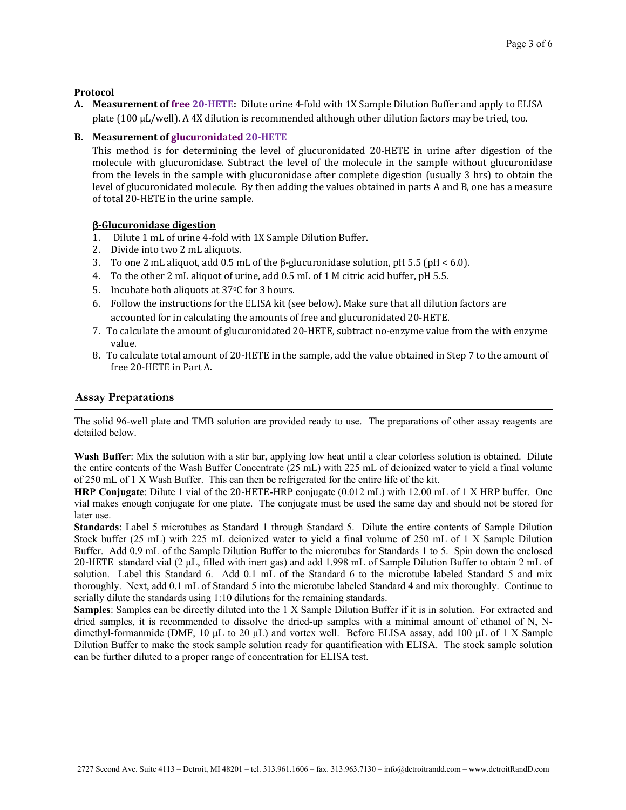### **Protocol**

**A.** Measurement of free 20-HETE: Dilute urine 4-fold with 1X Sample Dilution Buffer and apply to ELISA plate (100  $\mu$ L/well). A 4X dilution is recommended although other dilution factors may be tried, too.

### **B.** Measurement of glucuronidated 20-HETE

This method is for determining the level of glucuronidated 20-HETE in urine after digestion of the molecule with glucuronidase. Subtract the level of the molecule in the sample without glucuronidase from the levels in the sample with glucuronidase after complete digestion (usually 3 hrs) to obtain the level of glucuronidated molecule. By then adding the values obtained in parts A and B, one has a measure of total 20-HETE in the urine sample.

## **B-Glucuronidase digestion**

- 1. Dilute 1 mL of urine 4-fold with 1X Sample Dilution Buffer.
- 2. Divide into two 2 mL aliquots.
- 3. To one 2 mL aliquot, add 0.5 mL of the  $\beta$ -glucuronidase solution, pH 5.5 (pH < 6.0).
- 4. To the other 2 mL aliquot of urine, add 0.5 mL of 1 M citric acid buffer, pH 5.5.
- 5. Incubate both aliquots at  $37°C$  for 3 hours.
- 6. Follow the instructions for the ELISA kit (see below). Make sure that all dilution factors are accounted for in calculating the amounts of free and glucuronidated 20-HETE.
- 7. To calculate the amount of glucuronidated 20-HETE, subtract no-enzyme value from the with enzyme value.
- 8. To calculate total amount of 20-HETE in the sample, add the value obtained in Step 7 to the amount of free 20-HETE in Part A.

#### **Assay Preparations**

The solid 96-well plate and TMB solution are provided ready to use. The preparations of other assay reagents are detailed below.

**Wash Buffer**: Mix the solution with a stir bar, applying low heat until a clear colorless solution is obtained. Dilute the entire contents of the Wash Buffer Concentrate (25 mL) with 225 mL of deionized water to yield a final volume of 250 mL of 1 X Wash Buffer. This can then be refrigerated for the entire life of the kit.

**HRP Conjugate**: Dilute 1 vial of the 20-HETE-HRP conjugate (0.012 mL) with 12.00 mL of 1 X HRP buffer. One vial makes enough conjugate for one plate. The conjugate must be used the same day and should not be stored for later use.

**Standards**: Label 5 microtubes as Standard 1 through Standard 5. Dilute the entire contents of Sample Dilution Stock buffer (25 mL) with 225 mL deionized water to yield a final volume of 250 mL of 1 X Sample Dilution Buffer. Add 0.9 mL of the Sample Dilution Buffer to the microtubes for Standards 1 to 5. Spin down the enclosed 20-HETE standard vial (2 μL, filled with inert gas) and add 1.998 mL of Sample Dilution Buffer to obtain 2 mL of solution. Label this Standard 6. Add 0.1 mL of the Standard 6 to the microtube labeled Standard 5 and mix thoroughly. Next, add 0.1 mL of Standard 5 into the microtube labeled Standard 4 and mix thoroughly. Continue to serially dilute the standards using 1:10 dilutions for the remaining standards.

**Samples**: Samples can be directly diluted into the 1 X Sample Dilution Buffer if it is in solution. For extracted and dried samples, it is recommended to dissolve the dried-up samples with a minimal amount of ethanol of N, Ndimethyl-formanmide (DMF, 10 μL to 20 μL) and vortex well. Before ELISA assay, add 100 μL of 1 X Sample Dilution Buffer to make the stock sample solution ready for quantification with ELISA. The stock sample solution can be further diluted to a proper range of concentration for ELISA test.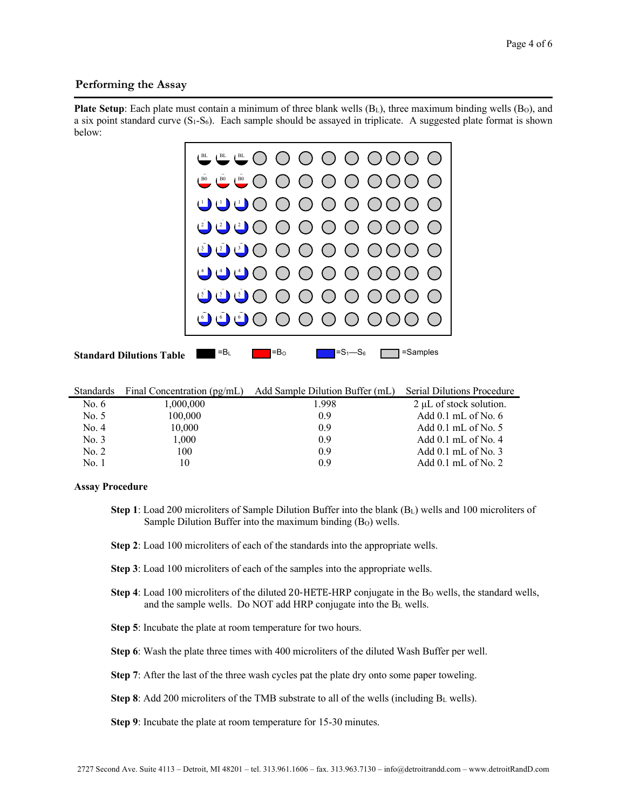## **Performing the Assay**

**Plate Setup**: Each plate must contain a minimum of three blank wells (B<sub>L</sub>), three maximum binding wells (B<sub>O</sub>), and a six point standard curve  $(S_1-S_6)$ . Each sample should be assayed in triplicate. A suggested plate format is shown below:



|         | Standards Final Concentration (pg/mL) | Add Sample Dilution Buffer (mL) | <b>Serial Dilutions Procedure</b> |
|---------|---------------------------------------|---------------------------------|-----------------------------------|
| No. $6$ | 1,000,000                             | 1.998                           | $2 \mu L$ of stock solution.      |
| No. 5   | 100,000                               | 0.9                             | Add $0.1$ mL of No. 6             |
| No. 4   | 10,000                                | 0.9                             | Add $0.1$ mL of No. 5             |
| No. 3   | 1,000                                 | 0.9                             | Add $0.1$ mL of No. 4             |
| No. 2   | 100                                   | 0.9                             | Add $0.1$ mL of No. 3             |
| No. 1   | 10                                    | 0.9                             | Add $0.1$ mL of No. 2             |

#### **Assay Procedure**

- **Step 1**: Load 200 microliters of Sample Dilution Buffer into the blank (BL) wells and 100 microliters of Sample Dilution Buffer into the maximum binding (B<sub>O</sub>) wells.
- **Step 2**: Load 100 microliters of each of the standards into the appropriate wells.
- **Step 3**: Load 100 microliters of each of the samples into the appropriate wells.
- **Step 4**: Load 100 microliters of the diluted 20-HETE-HRP conjugate in the Bo wells, the standard wells, and the sample wells. Do NOT add HRP conjugate into the  $B_L$  wells.
- **Step 5**: Incubate the plate at room temperature for two hours.
- **Step 6**: Wash the plate three times with 400 microliters of the diluted Wash Buffer per well.
- **Step 7**: After the last of the three wash cycles pat the plate dry onto some paper toweling.

**Step 8**: Add 200 microliters of the TMB substrate to all of the wells (including BL wells).

**Step 9**: Incubate the plate at room temperature for 15-30 minutes.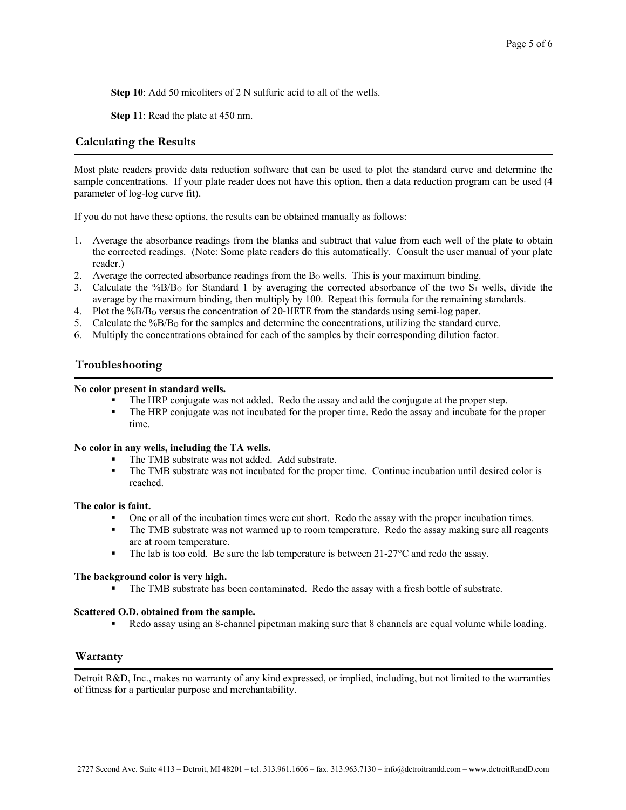**Step 10**: Add 50 micoliters of 2 N sulfuric acid to all of the wells.

**Step 11**: Read the plate at 450 nm.

## **Calculating the Results**

Most plate readers provide data reduction software that can be used to plot the standard curve and determine the sample concentrations. If your plate reader does not have this option, then a data reduction program can be used (4 parameter of log-log curve fit).

If you do not have these options, the results can be obtained manually as follows:

- 1. Average the absorbance readings from the blanks and subtract that value from each well of the plate to obtain the corrected readings. (Note: Some plate readers do this automatically. Consult the user manual of your plate reader.)
- 2. Average the corrected absorbance readings from the B<sub>O</sub> wells. This is your maximum binding.
- 3. Calculate the %B/BO for Standard 1 by averaging the corrected absorbance of the two S1 wells, divide the average by the maximum binding, then multiply by 100. Repeat this formula for the remaining standards.
- 4. Plot the %B/BO versus the concentration of 20-HETE from the standards using semi-log paper.
- 5. Calculate the %B/BO for the samples and determine the concentrations, utilizing the standard curve.
- 6. Multiply the concentrations obtained for each of the samples by their corresponding dilution factor.

# **Troubleshooting** l

#### **No color present in standard wells.**

- The HRP conjugate was not added. Redo the assay and add the conjugate at the proper step.
- § The HRP conjugate was not incubated for the proper time. Redo the assay and incubate for the proper time.

#### **No color in any wells, including the TA wells.**

- The TMB substrate was not added. Add substrate.
- The TMB substrate was not incubated for the proper time. Continue incubation until desired color is reached.

#### **The color is faint.**

- One or all of the incubation times were cut short. Redo the assay with the proper incubation times.
- The TMB substrate was not warmed up to room temperature. Redo the assay making sure all reagents are at room temperature.
- **•** The lab is too cold. Be sure the lab temperature is between  $21-27^{\circ}C$  and redo the assay.

#### **The background color is very high.**

■ The TMB substrate has been contaminated. Redo the assay with a fresh bottle of substrate.

#### **Scattered O.D. obtained from the sample.**

■ Redo assay using an 8-channel pipetman making sure that 8 channels are equal volume while loading.

## **Warranty**

Detroit R&D, Inc., makes no warranty of any kind expressed, or implied, including, but not limited to the warranties of fitness for a particular purpose and merchantability.